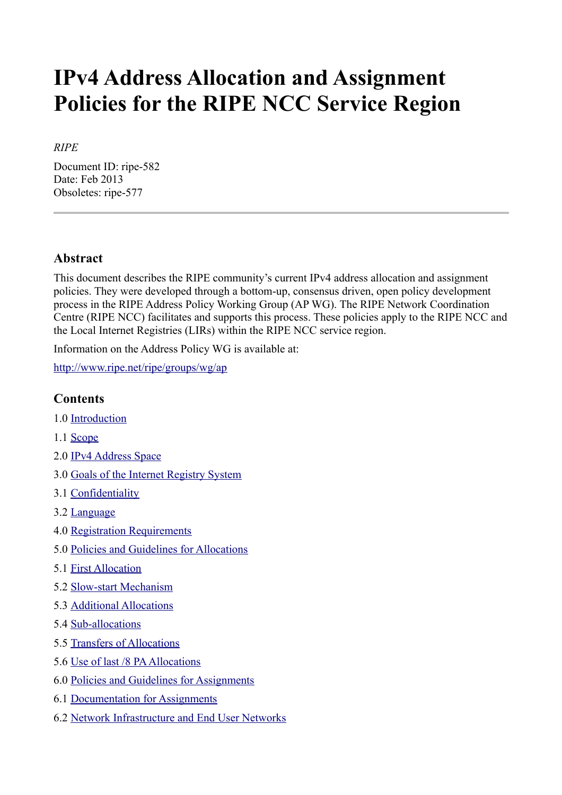# **IPv4 Address Allocation and Assignment Policies for the RIPE NCC Service Region**

#### *RIPE*

Document ID: ripe-582 Date: Feb 2013 Obsoletes: ripe-577

## **Abstract**

This document describes the RIPE community's current IPv4 address allocation and assignment policies. They were developed through a bottom-up, consensus driven, open policy development process in the RIPE Address Policy Working Group (AP WG). The RIPE Network Coordination Centre (RIPE NCC) facilitates and supports this process. These policies apply to the RIPE NCC and the Local Internet Registries (LIRs) within the RIPE NCC service region.

Information on the Address Policy WG is available at:

<http://www.ripe.net/ripe/groups/wg/ap>

#### **Contents**

- 1.0 [Introduction](#page-1-0)
- 1.1 [Scope](#page-1-2)
- 2.0 [IPv4 Address Space](#page-1-1)
- 3.0 [Goals of the Internet Registry System](#page-2-4)
- 3.1 [Confidentiality](#page-2-3)
- 3.2 [Language](#page-2-2)
- 4.0 [Registration Requirements](#page-2-1)
- 5.0 [Policies and Guidelines for Allocations](#page-2-0)
- 5.1 [First Allocation](#page-3-3)
- 5.2 [Slow-start Mechanism](#page-3-2)
- 5.3 [Additional Allocations](#page-3-1)
- 5.4 [Sub-allocations](#page-3-0)
- 5.5 [Transfers of Allocations](#page-4-0)
- 5.6 [Use of last /8 PA Allocations](#page-5-0)
- 6.0 [Policies and Guidelines for Assignments](#page-6-1)
- 6.1 [Documentation for Assignments](#page-6-0)
- 6.2 [Network Infrastructure and End User Networks](#page-7-0)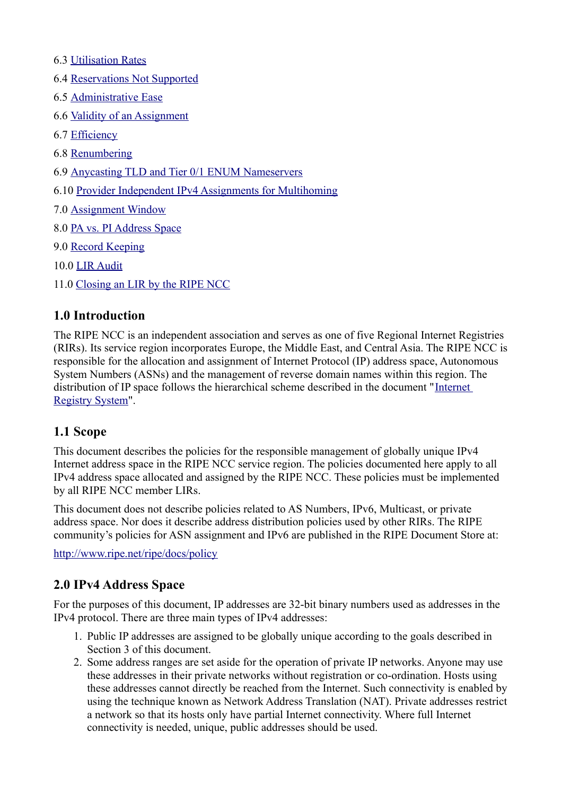- 6.3 [Utilisation Rates](#page-7-4)
- 6.4 [Reservations Not Supported](#page-7-3)
- 6.5 [Administrative Ease](#page-7-2)
- 6.6 [Validity of an Assignment](#page-7-1)
- 6.7 [Efficiency](#page-8-3)
- 6.8 [Renumbering](#page-8-2)
- 6.9 [Anycasting TLD and Tier 0/1 ENUM Nameservers](#page-8-1)
- 6.10 [Provider Independent IPv4 Assignments for Multihoming](#page-8-0)
- 7.0 [Assignment Window](#page-9-0)
- 8.0 [PA vs. PI Address Space](#page-10-0)
- 9.0 [Record Keeping](#page-11-0)
- 10.0 [LIR Audit](#page-12-1)
- 11.0 [Closing an LIR by the RIPE NCC](#page-12-0)

#### <span id="page-1-0"></span>**1.0 Introduction**

The RIPE NCC is an independent association and serves as one of five Regional Internet Registries (RIRs). Its service region incorporates Europe, the Middle East, and Central Asia. The RIPE NCC is responsible for the allocation and assignment of Internet Protocol (IP) address space, Autonomous System Numbers (ASNs) and the management of reverse domain names within this region. The distribution of IP space follows the hierarchical scheme described in the document "[Internet](https://www.ripe.net/internet-coordination/internet-governance/internet-technical-community/the-rir-system) [Registry System"](https://www.ripe.net/internet-coordination/internet-governance/internet-technical-community/the-rir-system).

#### <span id="page-1-2"></span>**1.1 Scope**

This document describes the policies for the responsible management of globally unique IPv4 Internet address space in the RIPE NCC service region. The policies documented here apply to all IPv4 address space allocated and assigned by the RIPE NCC. These policies must be implemented by all RIPE NCC member LIRs.

This document does not describe policies related to AS Numbers, IPv6, Multicast, or private address space. Nor does it describe address distribution policies used by other RIRs. The RIPE community's policies for ASN assignment and IPv6 are published in the RIPE Document Store at:

<http://www.ripe.net/ripe/docs/policy>

#### <span id="page-1-1"></span>**2.0 IPv4 Address Space**

For the purposes of this document, IP addresses are 32-bit binary numbers used as addresses in the IPv4 protocol. There are three main types of IPv4 addresses:

- 1. Public IP addresses are assigned to be globally unique according to the goals described in Section 3 of this document.
- 2. Some address ranges are set aside for the operation of private IP networks. Anyone may use these addresses in their private networks without registration or co-ordination. Hosts using these addresses cannot directly be reached from the Internet. Such connectivity is enabled by using the technique known as Network Address Translation (NAT). Private addresses restrict a network so that its hosts only have partial Internet connectivity. Where full Internet connectivity is needed, unique, public addresses should be used.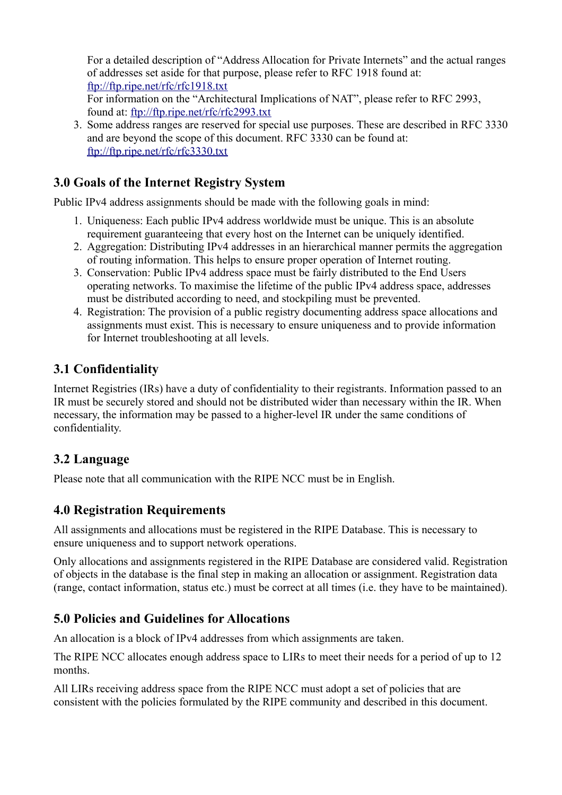For a detailed description of "Address Allocation for Private Internets" and the actual ranges of addresses set aside for that purpose, please refer to RFC 1918 found at: <ftp://ftp.ripe.net/rfc/rfc1918.txt> For information on the "Architectural Implications of NAT", please refer to RFC 2993, found at:<ftp://ftp.ripe.net/rfc/rfc2993.txt>

3. Some address ranges are reserved for special use purposes. These are described in RFC 3330 and are beyond the scope of this document. RFC 3330 can be found at: <ftp://ftp.ripe.net/rfc/rfc3330.txt>

# <span id="page-2-4"></span>**3.0 Goals of the Internet Registry System**

Public IPv4 address assignments should be made with the following goals in mind:

- 1. Uniqueness: Each public IPv4 address worldwide must be unique. This is an absolute requirement guaranteeing that every host on the Internet can be uniquely identified.
- 2. Aggregation: Distributing IPv4 addresses in an hierarchical manner permits the aggregation of routing information. This helps to ensure proper operation of Internet routing.
- 3. Conservation: Public IPv4 address space must be fairly distributed to the End Users operating networks. To maximise the lifetime of the public IPv4 address space, addresses must be distributed according to need, and stockpiling must be prevented.
- 4. Registration: The provision of a public registry documenting address space allocations and assignments must exist. This is necessary to ensure uniqueness and to provide information for Internet troubleshooting at all levels.

# <span id="page-2-3"></span>**3.1 Confidentiality**

Internet Registries (IRs) have a duty of confidentiality to their registrants. Information passed to an IR must be securely stored and should not be distributed wider than necessary within the IR. When necessary, the information may be passed to a higher-level IR under the same conditions of confidentiality.

# <span id="page-2-2"></span>**3.2 Language**

Please note that all communication with the RIPE NCC must be in English.

# <span id="page-2-1"></span>**4.0 Registration Requirements**

All assignments and allocations must be registered in the RIPE Database. This is necessary to ensure uniqueness and to support network operations.

Only allocations and assignments registered in the RIPE Database are considered valid. Registration of objects in the database is the final step in making an allocation or assignment. Registration data (range, contact information, status etc.) must be correct at all times (i.e. they have to be maintained).

## <span id="page-2-0"></span>**5.0 Policies and Guidelines for Allocations**

An allocation is a block of IPv4 addresses from which assignments are taken.

The RIPE NCC allocates enough address space to LIRs to meet their needs for a period of up to 12 months.

All LIRs receiving address space from the RIPE NCC must adopt a set of policies that are consistent with the policies formulated by the RIPE community and described in this document.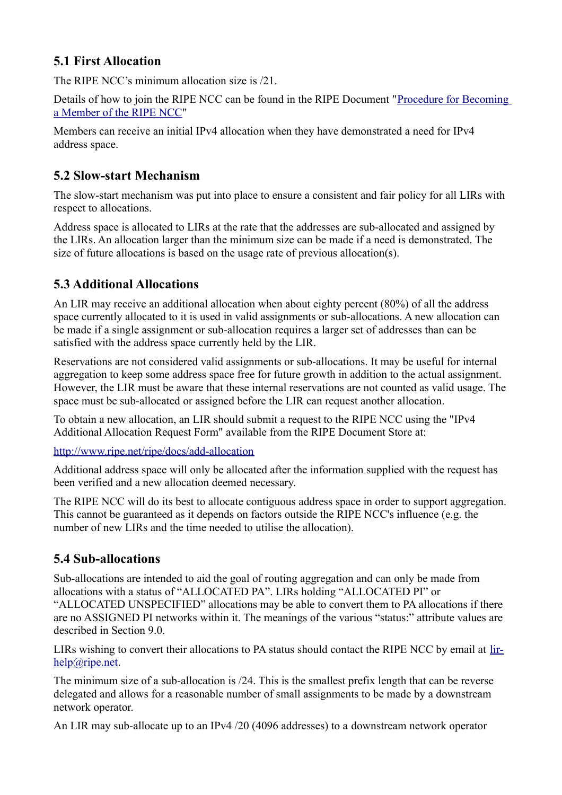# <span id="page-3-3"></span>**5.1 First Allocation**

The RIPE NCC's minimum allocation size is /21.

Details of how to join the RIPE NCC can be found in the RIPE Document ["Procedure for Becoming](http://www.ripe.net/lir-services/member-support/become-a-member/becoming-a-member-of-the-ripe-ncc) [a Member of the RIPE NCC"](http://www.ripe.net/lir-services/member-support/become-a-member/becoming-a-member-of-the-ripe-ncc)

Members can receive an initial IPv4 allocation when they have demonstrated a need for IPv4 address space.

# <span id="page-3-2"></span>**5.2 Slow-start Mechanism**

The slow-start mechanism was put into place to ensure a consistent and fair policy for all LIRs with respect to allocations.

Address space is allocated to LIRs at the rate that the addresses are sub-allocated and assigned by the LIRs. An allocation larger than the minimum size can be made if a need is demonstrated. The size of future allocations is based on the usage rate of previous allocation(s).

# <span id="page-3-1"></span>**5.3 Additional Allocations**

An LIR may receive an additional allocation when about eighty percent (80%) of all the address space currently allocated to it is used in valid assignments or sub-allocations. A new allocation can be made if a single assignment or sub-allocation requires a larger set of addresses than can be satisfied with the address space currently held by the LIR.

Reservations are not considered valid assignments or sub-allocations. It may be useful for internal aggregation to keep some address space free for future growth in addition to the actual assignment. However, the LIR must be aware that these internal reservations are not counted as valid usage. The space must be sub-allocated or assigned before the LIR can request another allocation.

To obtain a new allocation, an LIR should submit a request to the RIPE NCC using the "IPv4 Additional Allocation Request Form" available from the RIPE Document Store at:

<http://www.ripe.net/ripe/docs/add-allocation>

Additional address space will only be allocated after the information supplied with the request has been verified and a new allocation deemed necessary.

The RIPE NCC will do its best to allocate contiguous address space in order to support aggregation. This cannot be guaranteed as it depends on factors outside the RIPE NCC's influence (e.g. the number of new LIRs and the time needed to utilise the allocation).

# <span id="page-3-0"></span>**5.4 Sub-allocations**

Sub-allocations are intended to aid the goal of routing aggregation and can only be made from allocations with a status of "ALLOCATED PA". LIRs holding "ALLOCATED PI" or "ALLOCATED UNSPECIFIED" allocations may be able to convert them to PA allocations if there are no ASSIGNED PI networks within it. The meanings of the various "status:" attribute values are described in Section 9.0.

LIRs wishing to convert their allocations to PA status should contact the RIPE NCC by email at [lir](mailto:lir-help@ripe.net)[help@ripe.net.](mailto:lir-help@ripe.net)

The minimum size of a sub-allocation is /24. This is the smallest prefix length that can be reverse delegated and allows for a reasonable number of small assignments to be made by a downstream network operator.

An LIR may sub-allocate up to an IPv4 /20 (4096 addresses) to a downstream network operator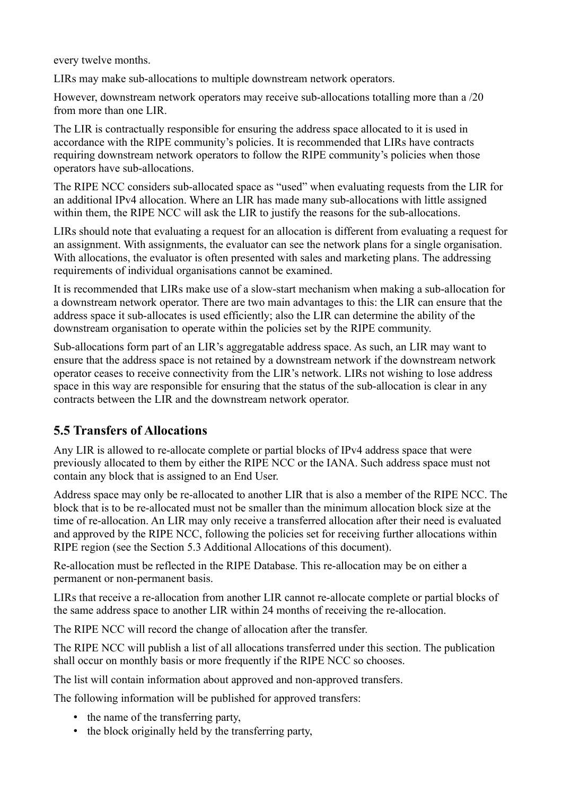every twelve months.

LIRs may make sub-allocations to multiple downstream network operators.

However, downstream network operators may receive sub-allocations totalling more than a /20 from more than one LIR.

The LIR is contractually responsible for ensuring the address space allocated to it is used in accordance with the RIPE community's policies. It is recommended that LIRs have contracts requiring downstream network operators to follow the RIPE community's policies when those operators have sub-allocations.

The RIPE NCC considers sub-allocated space as "used" when evaluating requests from the LIR for an additional IPv4 allocation. Where an LIR has made many sub-allocations with little assigned within them, the RIPE NCC will ask the LIR to justify the reasons for the sub-allocations.

LIRs should note that evaluating a request for an allocation is different from evaluating a request for an assignment. With assignments, the evaluator can see the network plans for a single organisation. With allocations, the evaluator is often presented with sales and marketing plans. The addressing requirements of individual organisations cannot be examined.

It is recommended that LIRs make use of a slow-start mechanism when making a sub-allocation for a downstream network operator. There are two main advantages to this: the LIR can ensure that the address space it sub-allocates is used efficiently; also the LIR can determine the ability of the downstream organisation to operate within the policies set by the RIPE community.

Sub-allocations form part of an LIR's aggregatable address space. As such, an LIR may want to ensure that the address space is not retained by a downstream network if the downstream network operator ceases to receive connectivity from the LIR's network. LIRs not wishing to lose address space in this way are responsible for ensuring that the status of the sub-allocation is clear in any contracts between the LIR and the downstream network operator.

# <span id="page-4-0"></span>**5.5 Transfers of Allocations**

Any LIR is allowed to re-allocate complete or partial blocks of IPv4 address space that were previously allocated to them by either the RIPE NCC or the IANA. Such address space must not contain any block that is assigned to an End User.

Address space may only be re-allocated to another LIR that is also a member of the RIPE NCC. The block that is to be re-allocated must not be smaller than the minimum allocation block size at the time of re-allocation. An LIR may only receive a transferred allocation after their need is evaluated and approved by the RIPE NCC, following the policies set for receiving further allocations within RIPE region (see the Section 5.3 Additional Allocations of this document).

Re-allocation must be reflected in the RIPE Database. This re-allocation may be on either a permanent or non-permanent basis.

LIRs that receive a re-allocation from another LIR cannot re-allocate complete or partial blocks of the same address space to another LIR within 24 months of receiving the re-allocation.

The RIPE NCC will record the change of allocation after the transfer.

The RIPE NCC will publish a list of all allocations transferred under this section. The publication shall occur on monthly basis or more frequently if the RIPE NCC so chooses.

The list will contain information about approved and non-approved transfers.

The following information will be published for approved transfers:

- the name of the transferring party,
- the block originally held by the transferring party,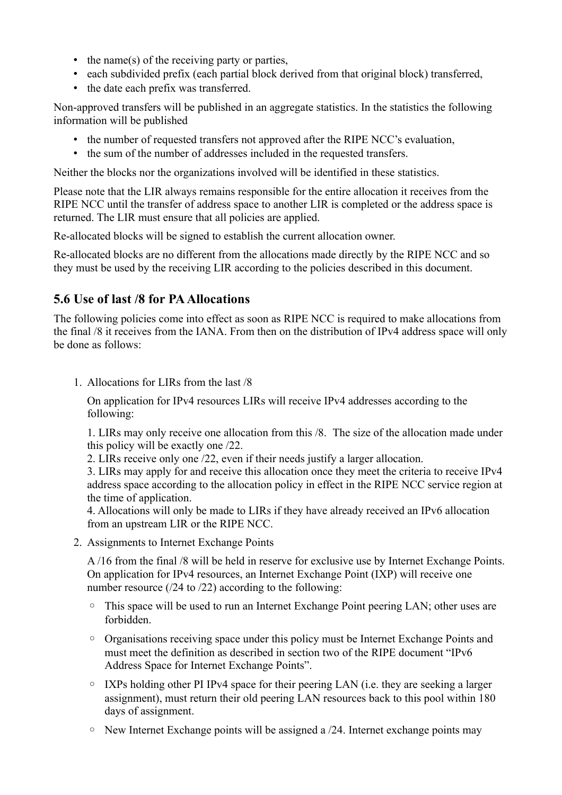- the name(s) of the receiving party or parties,
- each subdivided prefix (each partial block derived from that original block) transferred,
- the date each prefix was transferred.

Non-approved transfers will be published in an aggregate statistics. In the statistics the following information will be published

- the number of requested transfers not approved after the RIPE NCC's evaluation,
- the sum of the number of addresses included in the requested transfers.

Neither the blocks nor the organizations involved will be identified in these statistics.

Please note that the LIR always remains responsible for the entire allocation it receives from the RIPE NCC until the transfer of address space to another LIR is completed or the address space is returned. The LIR must ensure that all policies are applied.

Re-allocated blocks will be signed to establish the current allocation owner.

Re-allocated blocks are no different from the allocations made directly by the RIPE NCC and so they must be used by the receiving LIR according to the policies described in this document.

## <span id="page-5-0"></span>**5.6 Use of last /8 for PA Allocations**

The following policies come into effect as soon as RIPE NCC is required to make allocations from the final /8 it receives from the IANA. From then on the distribution of IPv4 address space will only be done as follows:

1. Allocations for LIRs from the last /8

On application for IPv4 resources LIRs will receive IPv4 addresses according to the following:

1. LIRs may only receive one allocation from this /8. The size of the allocation made under this policy will be exactly one /22.

2. LIRs receive only one /22, even if their needs justify a larger allocation.

3. LIRs may apply for and receive this allocation once they meet the criteria to receive IPv4 address space according to the allocation policy in effect in the RIPE NCC service region at the time of application.

4. Allocations will only be made to LIRs if they have already received an IPv6 allocation from an upstream LIR or the RIPE NCC.

2. Assignments to Internet Exchange Points

A /16 from the final /8 will be held in reserve for exclusive use by Internet Exchange Points. On application for IPv4 resources, an Internet Exchange Point (IXP) will receive one number resource (/24 to /22) according to the following:

- This space will be used to run an Internet Exchange Point peering LAN; other uses are forbidden.
- Organisations receiving space under this policy must be Internet Exchange Points and must meet the definition as described in section two of the RIPE document "IPv6 Address Space for Internet Exchange Points".
- IXPs holding other PI IPv4 space for their peering LAN (i.e. they are seeking a larger assignment), must return their old peering LAN resources back to this pool within 180 days of assignment.
- New Internet Exchange points will be assigned a /24. Internet exchange points may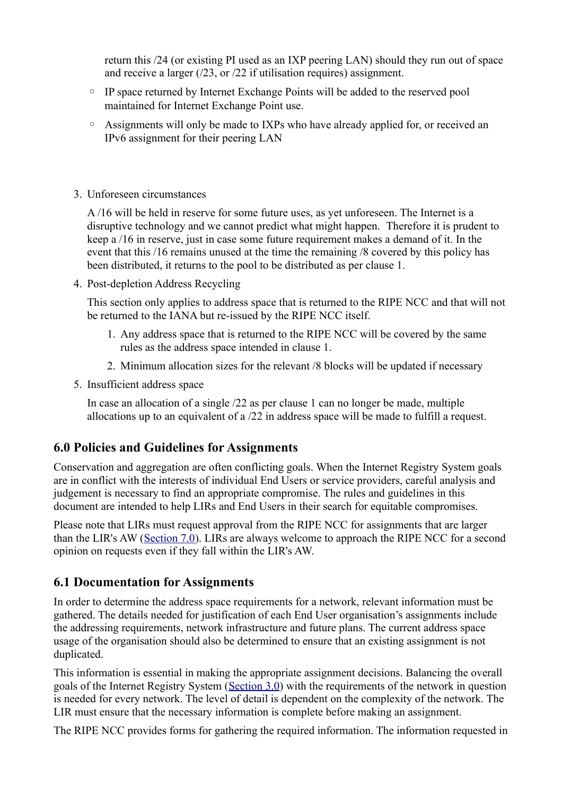return this /24 (or existing PI used as an IXP peering LAN) should they run out of space and receive a larger (/23, or /22 if utilisation requires) assignment.

- IP space returned by Internet Exchange Points will be added to the reserved pool maintained for Internet Exchange Point use.
- Assignments will only be made to IXPs who have already applied for, or received an IPv6 assignment for their peering LAN
- 3. Unforeseen circumstances

A /16 will be held in reserve for some future uses, as yet unforeseen. The Internet is a disruptive technology and we cannot predict what might happen. Therefore it is prudent to keep a /16 in reserve, just in case some future requirement makes a demand of it. In the event that this /16 remains unused at the time the remaining /8 covered by this policy has been distributed, it returns to the pool to be distributed as per clause 1.

4. Post-depletion Address Recycling

This section only applies to address space that is returned to the RIPE NCC and that will not be returned to the IANA but re-issued by the RIPE NCC itself.

- 1. Any address space that is returned to the RIPE NCC will be covered by the same rules as the address space intended in clause 1.
- 2. Minimum allocation sizes for the relevant /8 blocks will be updated if necessary
- 5. Insufficient address space

In case an allocation of a single /22 as per clause 1 can no longer be made, multiple allocations up to an equivalent of a /22 in address space will be made to fulfill a request.

## <span id="page-6-1"></span>**6.0 Policies and Guidelines for Assignments**

Conservation and aggregation are often conflicting goals. When the Internet Registry System goals are in conflict with the interests of individual End Users or service providers, careful analysis and judgement is necessary to find an appropriate compromise. The rules and guidelines in this document are intended to help LIRs and End Users in their search for equitable compromises.

Please note that LIRs must request approval from the RIPE NCC for assignments that are larger than the LIR's AW [\(Section 7.0\)](https://www.ripe.net/ripe/docs/ripe-582#bookmark25). LIRs are always welcome to approach the RIPE NCC for a second opinion on requests even if they fall within the LIR's AW.

## <span id="page-6-0"></span>**6.1 Documentation for Assignments**

In order to determine the address space requirements for a network, relevant information must be gathered. The details needed for justification of each End User organisation's assignments include the addressing requirements, network infrastructure and future plans. The current address space usage of the organisation should also be determined to ensure that an existing assignment is not duplicated.

This information is essential in making the appropriate assignment decisions. Balancing the overall goals of the Internet Registry System [\(Section 3.0\)](https://www.ripe.net/ripe/docs/ripe-582#bookmark3) with the requirements of the network in question is needed for every network. The level of detail is dependent on the complexity of the network. The LIR must ensure that the necessary information is complete before making an assignment.

The RIPE NCC provides forms for gathering the required information. The information requested in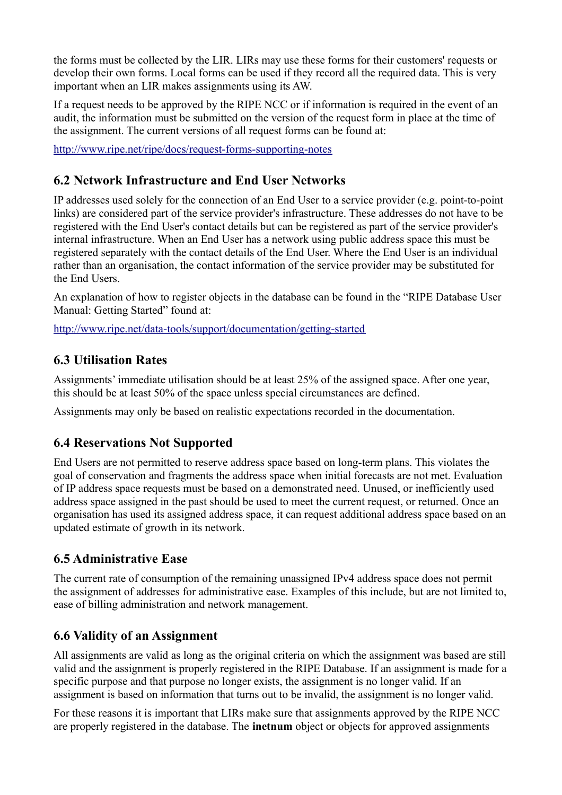the forms must be collected by the LIR. LIRs may use these forms for their customers' requests or develop their own forms. Local forms can be used if they record all the required data. This is very important when an LIR makes assignments using its AW.

If a request needs to be approved by the RIPE NCC or if information is required in the event of an audit, the information must be submitted on the version of the request form in place at the time of the assignment. The current versions of all request forms can be found at:

<http://www.ripe.net/ripe/docs/request-forms-supporting-notes>

## <span id="page-7-0"></span>**6.2 Network Infrastructure and End User Networks**

IP addresses used solely for the connection of an End User to a service provider (e.g. point-to-point links) are considered part of the service provider's infrastructure. These addresses do not have to be registered with the End User's contact details but can be registered as part of the service provider's internal infrastructure. When an End User has a network using public address space this must be registered separately with the contact details of the End User. Where the End User is an individual rather than an organisation, the contact information of the service provider may be substituted for the End Users.

An explanation of how to register objects in the database can be found in the "RIPE Database User Manual: Getting Started" found at:

<http://www.ripe.net/data-tools/support/documentation/getting-started>

## <span id="page-7-4"></span>**6.3 Utilisation Rates**

Assignments' immediate utilisation should be at least 25% of the assigned space. After one year, this should be at least 50% of the space unless special circumstances are defined.

Assignments may only be based on realistic expectations recorded in the documentation.

## <span id="page-7-3"></span>**6.4 Reservations Not Supported**

End Users are not permitted to reserve address space based on long-term plans. This violates the goal of conservation and fragments the address space when initial forecasts are not met. Evaluation of IP address space requests must be based on a demonstrated need. Unused, or inefficiently used address space assigned in the past should be used to meet the current request, or returned. Once an organisation has used its assigned address space, it can request additional address space based on an updated estimate of growth in its network.

## <span id="page-7-2"></span>**6.5 Administrative Ease**

The current rate of consumption of the remaining unassigned IPv4 address space does not permit the assignment of addresses for administrative ease. Examples of this include, but are not limited to, ease of billing administration and network management.

## <span id="page-7-1"></span>**6.6 Validity of an Assignment**

All assignments are valid as long as the original criteria on which the assignment was based are still valid and the assignment is properly registered in the RIPE Database. If an assignment is made for a specific purpose and that purpose no longer exists, the assignment is no longer valid. If an assignment is based on information that turns out to be invalid, the assignment is no longer valid.

For these reasons it is important that LIRs make sure that assignments approved by the RIPE NCC are properly registered in the database. The **inetnum** object or objects for approved assignments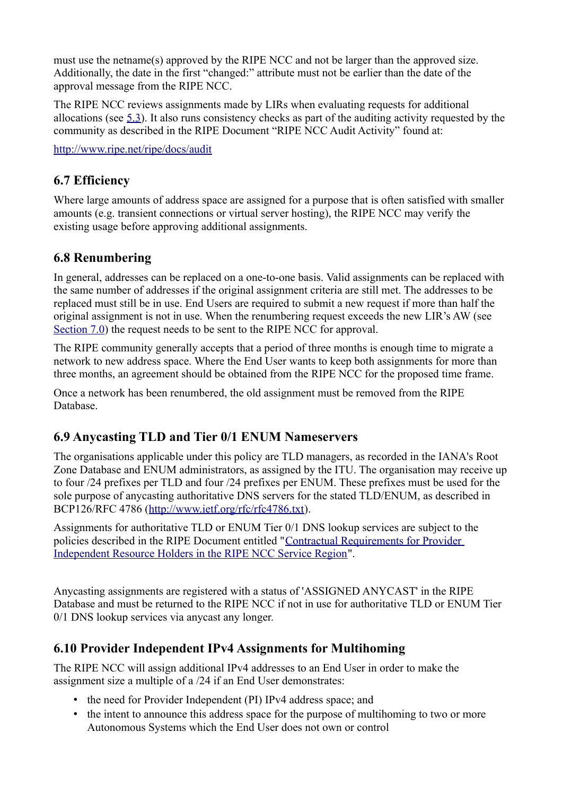must use the netname(s) approved by the RIPE NCC and not be larger than the approved size. Additionally, the date in the first "changed:" attribute must not be earlier than the date of the approval message from the RIPE NCC.

The RIPE NCC reviews assignments made by LIRs when evaluating requests for additional allocations (see [5.3\)](https://www.ripe.net/ripe/docs/ripe-582#bookmark10). It also runs consistency checks as part of the auditing activity requested by the community as described in the RIPE Document "RIPE NCC Audit Activity" found at:

<http://www.ripe.net/ripe/docs/audit>

## <span id="page-8-3"></span>**6.7 Efficiency**

Where large amounts of address space are assigned for a purpose that is often satisfied with smaller amounts (e.g. transient connections or virtual server hosting), the RIPE NCC may verify the existing usage before approving additional assignments.

## <span id="page-8-2"></span>**6.8 Renumbering**

In general, addresses can be replaced on a one-to-one basis. Valid assignments can be replaced with the same number of addresses if the original assignment criteria are still met. The addresses to be replaced must still be in use. End Users are required to submit a new request if more than half the original assignment is not in use. When the renumbering request exceeds the new LIR's AW (see [Section 7.0\)](https://www.ripe.net/ripe/docs/ripe-582#bookmark25) the request needs to be sent to the RIPE NCC for approval.

The RIPE community generally accepts that a period of three months is enough time to migrate a network to new address space. Where the End User wants to keep both assignments for more than three months, an agreement should be obtained from the RIPE NCC for the proposed time frame.

Once a network has been renumbered, the old assignment must be removed from the RIPE Database.

## <span id="page-8-1"></span>**6.9 Anycasting TLD and Tier 0/1 ENUM Nameservers**

The organisations applicable under this policy are TLD managers, as recorded in the IANA's Root Zone Database and ENUM administrators, as assigned by the ITU. The organisation may receive up to four /24 prefixes per TLD and four /24 prefixes per ENUM. These prefixes must be used for the sole purpose of anycasting authoritative DNS servers for the stated TLD/ENUM, as described in BCP126/RFC 4786 [\(http://www.ietf.org/rfc/rfc4786.txt\)](http://www.ietf.org/rfc/rfc4786.txt).

Assignments for authoritative TLD or ENUM Tier 0/1 DNS lookup services are subject to the policies described in the RIPE Document entitled ["Contractual Requirements for Provider](https://www.ripe.net/ripe/docs/contract-req) [Independent Resource Holders in the RIPE NCC Service Region"](https://www.ripe.net/ripe/docs/contract-req).

Anycasting assignments are registered with a status of 'ASSIGNED ANYCAST' in the RIPE Database and must be returned to the RIPE NCC if not in use for authoritative TLD or ENUM Tier 0/1 DNS lookup services via anycast any longer.

## <span id="page-8-0"></span>**6.10 Provider Independent IPv4 Assignments for Multihoming**

The RIPE NCC will assign additional IPv4 addresses to an End User in order to make the assignment size a multiple of a /24 if an End User demonstrates:

- the need for Provider Independent (PI) IPv4 address space; and
- the intent to announce this address space for the purpose of multihoming to two or more Autonomous Systems which the End User does not own or control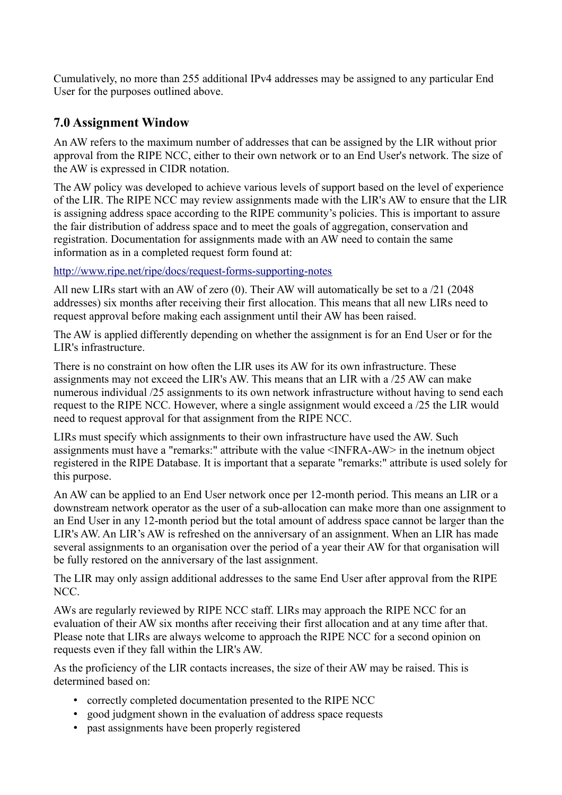Cumulatively, no more than 255 additional IPv4 addresses may be assigned to any particular End User for the purposes outlined above.

## <span id="page-9-0"></span>**7.0 Assignment Window**

An AW refers to the maximum number of addresses that can be assigned by the LIR without prior approval from the RIPE NCC, either to their own network or to an End User's network. The size of the AW is expressed in CIDR notation.

The AW policy was developed to achieve various levels of support based on the level of experience of the LIR. The RIPE NCC may review assignments made with the LIR's AW to ensure that the LIR is assigning address space according to the RIPE community's policies. This is important to assure the fair distribution of address space and to meet the goals of aggregation, conservation and registration. Documentation for assignments made with an AW need to contain the same information as in a completed request form found at:

<http://www.ripe.net/ripe/docs/request-forms-supporting-notes>

All new LIRs start with an AW of zero (0). Their AW will automatically be set to a /21 (2048 addresses) six months after receiving their first allocation. This means that all new LIRs need to request approval before making each assignment until their AW has been raised.

The AW is applied differently depending on whether the assignment is for an End User or for the LIR's infrastructure.

There is no constraint on how often the LIR uses its AW for its own infrastructure. These assignments may not exceed the LIR's AW. This means that an LIR with a /25 AW can make numerous individual /25 assignments to its own network infrastructure without having to send each request to the RIPE NCC. However, where a single assignment would exceed a /25 the LIR would need to request approval for that assignment from the RIPE NCC.

LIRs must specify which assignments to their own infrastructure have used the AW. Such assignments must have a "remarks:" attribute with the value <INFRA-AW> in the inetnum object registered in the RIPE Database. It is important that a separate "remarks:" attribute is used solely for this purpose.

An AW can be applied to an End User network once per 12-month period. This means an LIR or a downstream network operator as the user of a sub-allocation can make more than one assignment to an End User in any 12-month period but the total amount of address space cannot be larger than the LIR's AW. An LIR's AW is refreshed on the anniversary of an assignment. When an LIR has made several assignments to an organisation over the period of a year their AW for that organisation will be fully restored on the anniversary of the last assignment.

The LIR may only assign additional addresses to the same End User after approval from the RIPE NCC.

AWs are regularly reviewed by RIPE NCC staff. LIRs may approach the RIPE NCC for an evaluation of their AW six months after receiving their first allocation and at any time after that. Please note that LIRs are always welcome to approach the RIPE NCC for a second opinion on requests even if they fall within the LIR's AW.

As the proficiency of the LIR contacts increases, the size of their AW may be raised. This is determined based on:

- correctly completed documentation presented to the RIPE NCC
- good judgment shown in the evaluation of address space requests
- past assignments have been properly registered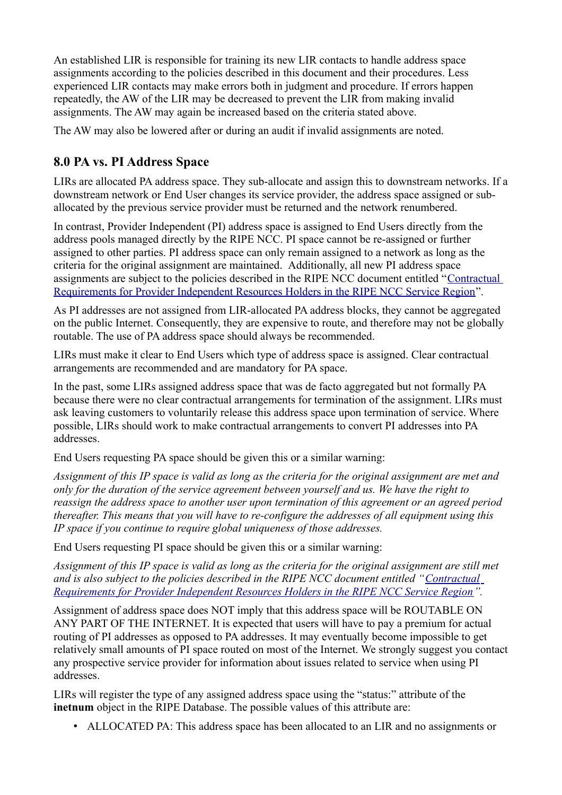An established LIR is responsible for training its new LIR contacts to handle address space assignments according to the policies described in this document and their procedures. Less experienced LIR contacts may make errors both in judgment and procedure. If errors happen repeatedly, the AW of the LIR may be decreased to prevent the LIR from making invalid assignments. The AW may again be increased based on the criteria stated above.

The AW may also be lowered after or during an audit if invalid assignments are noted.

# <span id="page-10-0"></span>**8.0 PA vs. PI Address Space**

LIRs are allocated PA address space. They sub-allocate and assign this to downstream networks. If a downstream network or End User changes its service provider, the address space assigned or suballocated by the previous service provider must be returned and the network renumbered.

In contrast, Provider Independent (PI) address space is assigned to End Users directly from the address pools managed directly by the RIPE NCC. PI space cannot be re-assigned or further assigned to other parties. PI address space can only remain assigned to a network as long as the criteria for the original assignment are maintained. Additionally, all new PI address space assignments are subject to the policies described in the RIPE NCC document entitled "[Contractual](http://www.ripe.net/ripe/docs/contract-req) [Requirements for Provider Independent Resources Holders in the RIPE NCC Service Region"](http://www.ripe.net/ripe/docs/contract-req).

As PI addresses are not assigned from LIR-allocated PA address blocks, they cannot be aggregated on the public Internet. Consequently, they are expensive to route, and therefore may not be globally routable. The use of PA address space should always be recommended.

LIRs must make it clear to End Users which type of address space is assigned. Clear contractual arrangements are recommended and are mandatory for PA space.

In the past, some LIRs assigned address space that was de facto aggregated but not formally PA because there were no clear contractual arrangements for termination of the assignment. LIRs must ask leaving customers to voluntarily release this address space upon termination of service. Where possible, LIRs should work to make contractual arrangements to convert PI addresses into PA addresses.

End Users requesting PA space should be given this or a similar warning:

*Assignment of this IP space is valid as long as the criteria for the original assignment are met and only for the duration of the service agreement between yourself and us. We have the right to reassign the address space to another user upon termination of this agreement or an agreed period thereafter. This means that you will have to re-configure the addresses of all equipment using this IP space if you continue to require global uniqueness of those addresses.*

End Users requesting PI space should be given this or a similar warning:

*Assignment of this IP space is valid as long as the criteria for the original assignment are still met and is also subject to the policies described in the RIPE NCC document entitled ["Contractual](http://www.ripe.net/ripe/docs/contract-req) [Requirements for Provider Independent Resources Holders in the RIPE NCC Service Region"](http://www.ripe.net/ripe/docs/contract-req).*

Assignment of address space does NOT imply that this address space will be ROUTABLE ON ANY PART OF THE INTERNET. It is expected that users will have to pay a premium for actual routing of PI addresses as opposed to PA addresses. It may eventually become impossible to get relatively small amounts of PI space routed on most of the Internet. We strongly suggest you contact any prospective service provider for information about issues related to service when using PI addresses.

LIRs will register the type of any assigned address space using the "status:" attribute of the **inetnum** object in the RIPE Database. The possible values of this attribute are:

• ALLOCATED PA: This address space has been allocated to an LIR and no assignments or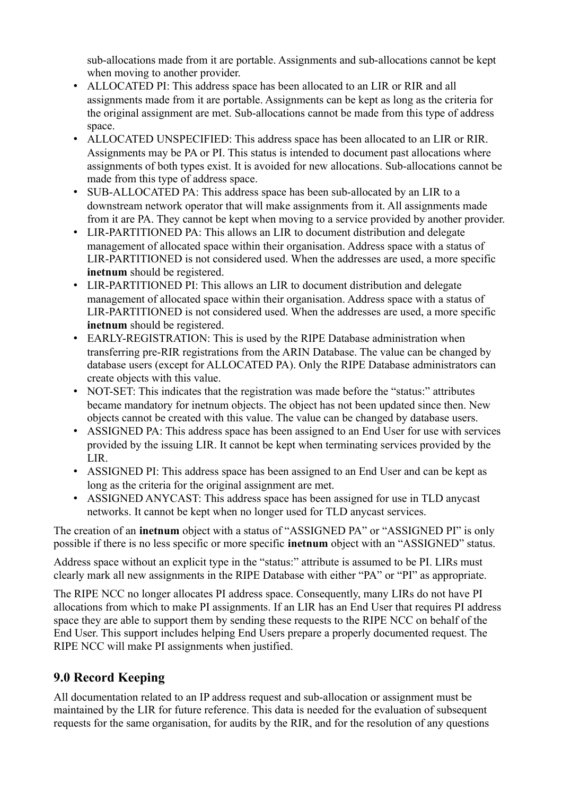sub-allocations made from it are portable. Assignments and sub-allocations cannot be kept when moving to another provider.

- ALLOCATED PI: This address space has been allocated to an LIR or RIR and all assignments made from it are portable. Assignments can be kept as long as the criteria for the original assignment are met. Sub-allocations cannot be made from this type of address space.
- ALLOCATED UNSPECIFIED: This address space has been allocated to an LIR or RIR. Assignments may be PA or PI. This status is intended to document past allocations where assignments of both types exist. It is avoided for new allocations. Sub-allocations cannot be made from this type of address space.
- SUB-ALLOCATED PA: This address space has been sub-allocated by an LIR to a downstream network operator that will make assignments from it. All assignments made from it are PA. They cannot be kept when moving to a service provided by another provider.
- LIR-PARTITIONED PA: This allows an LIR to document distribution and delegate management of allocated space within their organisation. Address space with a status of LIR-PARTITIONED is not considered used. When the addresses are used, a more specific **inetnum** should be registered.
- LIR-PARTITIONED PI: This allows an LIR to document distribution and delegate management of allocated space within their organisation. Address space with a status of LIR-PARTITIONED is not considered used. When the addresses are used, a more specific **inetnum** should be registered.
- EARLY-REGISTRATION: This is used by the RIPE Database administration when transferring pre-RIR registrations from the ARIN Database. The value can be changed by database users (except for ALLOCATED PA). Only the RIPE Database administrators can create objects with this value.
- NOT-SET: This indicates that the registration was made before the "status:" attributes became mandatory for inetnum objects. The object has not been updated since then. New objects cannot be created with this value. The value can be changed by database users.
- ASSIGNED PA: This address space has been assigned to an End User for use with services provided by the issuing LIR. It cannot be kept when terminating services provided by the LIR.
- ASSIGNED PI: This address space has been assigned to an End User and can be kept as long as the criteria for the original assignment are met.
- ASSIGNED ANYCAST: This address space has been assigned for use in TLD anycast networks. It cannot be kept when no longer used for TLD anycast services.

The creation of an **inetnum** object with a status of "ASSIGNED PA" or "ASSIGNED PI" is only possible if there is no less specific or more specific **inetnum** object with an "ASSIGNED" status.

Address space without an explicit type in the "status:" attribute is assumed to be PI. LIRs must clearly mark all new assignments in the RIPE Database with either "PA" or "PI" as appropriate.

The RIPE NCC no longer allocates PI address space. Consequently, many LIRs do not have PI allocations from which to make PI assignments. If an LIR has an End User that requires PI address space they are able to support them by sending these requests to the RIPE NCC on behalf of the End User. This support includes helping End Users prepare a properly documented request. The RIPE NCC will make PI assignments when justified.

# <span id="page-11-0"></span>**9.0 Record Keeping**

All documentation related to an IP address request and sub-allocation or assignment must be maintained by the LIR for future reference. This data is needed for the evaluation of subsequent requests for the same organisation, for audits by the RIR, and for the resolution of any questions